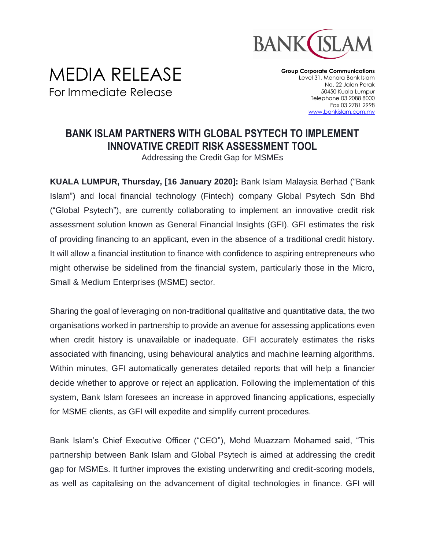

## MEDIA RELEASE For Immediate Release

**Group Corporate Communications** Level 31, Menara Bank Islam No. 22 Jalan Perak 50450 Kuala Lumpur Telephone 03 2088 8000 Fax 03 2781 2998 [www.bankislam.com.my](http://www.bankislam.com.my/)

## **BANK ISLAM PARTNERS WITH GLOBAL PSYTECH TO IMPLEMENT INNOVATIVE CREDIT RISK ASSESSMENT TOOL**

Addressing the Credit Gap for MSMEs

**KUALA LUMPUR, Thursday, [16 January 2020]:** Bank Islam Malaysia Berhad ("Bank Islam") and local financial technology (Fintech) company Global Psytech Sdn Bhd ("Global Psytech"), are currently collaborating to implement an innovative credit risk assessment solution known as General Financial Insights (GFI). GFI estimates the risk of providing financing to an applicant, even in the absence of a traditional credit history. It will allow a financial institution to finance with confidence to aspiring entrepreneurs who might otherwise be sidelined from the financial system, particularly those in the Micro, Small & Medium Enterprises (MSME) sector.

Sharing the goal of leveraging on non-traditional qualitative and quantitative data, the two organisations worked in partnership to provide an avenue for assessing applications even when credit history is unavailable or inadequate. GFI accurately estimates the risks associated with financing, using behavioural analytics and machine learning algorithms. Within minutes, GFI automatically generates detailed reports that will help a financier decide whether to approve or reject an application. Following the implementation of this system, Bank Islam foresees an increase in approved financing applications, especially for MSME clients, as GFI will expedite and simplify current procedures.

Bank Islam's Chief Executive Officer ("CEO"), Mohd Muazzam Mohamed said, "This partnership between Bank Islam and Global Psytech is aimed at addressing the credit gap for MSMEs. It further improves the existing underwriting and credit-scoring models, as well as capitalising on the advancement of digital technologies in finance. GFI will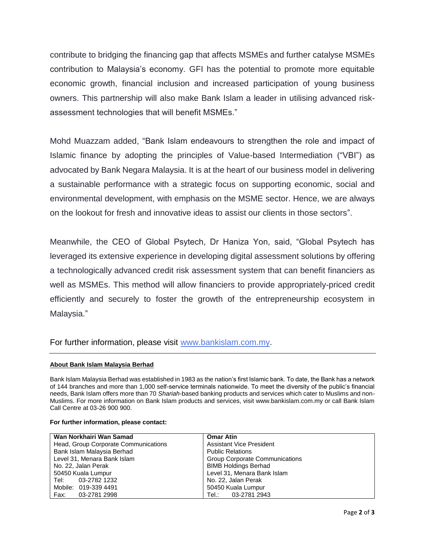contribute to bridging the financing gap that affects MSMEs and further catalyse MSMEs contribution to Malaysia's economy. GFI has the potential to promote more equitable economic growth, financial inclusion and increased participation of young business owners. This partnership will also make Bank Islam a leader in utilising advanced riskassessment technologies that will benefit MSMEs."

Mohd Muazzam added, "Bank Islam endeavours to strengthen the role and impact of Islamic finance by adopting the principles of Value-based Intermediation ("VBI") as advocated by Bank Negara Malaysia. It is at the heart of our business model in delivering a sustainable performance with a strategic focus on supporting economic, social and environmental development, with emphasis on the MSME sector. Hence, we are always on the lookout for fresh and innovative ideas to assist our clients in those sectors".

Meanwhile, the CEO of Global Psytech, Dr Haniza Yon, said, "Global Psytech has leveraged its extensive experience in developing digital assessment solutions by offering a technologically advanced credit risk assessment system that can benefit financiers as well as MSMEs. This method will allow financiers to provide appropriately-priced credit efficiently and securely to foster the growth of the entrepreneurship ecosystem in Malaysia."

For further information, please visit [www.bankislam.com.my.](http://www.bankislam.com.my/)

## **About Bank Islam Malaysia Berhad**

Bank Islam Malaysia Berhad was established in 1983 as the nation's first Islamic bank. To date, the Bank has a network of 144 branches and more than 1,000 self-service terminals nationwide. To meet the diversity of the public's financial needs, Bank Islam offers more than 70 *Shariah*-based banking products and services which cater to Muslims and non-Muslims. For more information on Bank Islam products and services, visit www.bankislam.com.my or call Bank Islam Call Centre at 03-26 900 900.

## **For further information, please contact:**

| Wan Norkhairi Wan Samad              | <b>Omar Atin</b>                      |  |
|--------------------------------------|---------------------------------------|--|
| Head, Group Corporate Communications | <b>Assistant Vice President</b>       |  |
| Bank Islam Malaysia Berhad           | <b>Public Relations</b>               |  |
| Level 31, Menara Bank Islam          | <b>Group Corporate Communications</b> |  |
| No. 22, Jalan Perak                  | <b>BIMB Holdings Berhad</b>           |  |
| 50450 Kuala Lumpur                   | Level 31, Menara Bank Islam           |  |
| Tel: 03-2782 1232                    | No. 22, Jalan Perak                   |  |
| Mobile: 019-339 4491                 | 50450 Kuala Lumpur                    |  |
| Fax: 03-2781 2998                    | Tel.: 03-2781 2943                    |  |